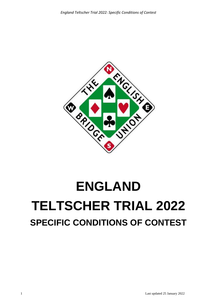

# **ENGLAND TELTSCHER TRIAL 2022 SPECIFIC CONDITIONS OF CONTEST**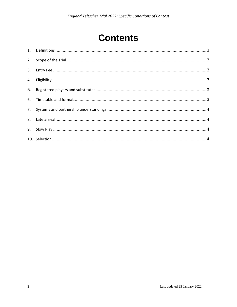# **Contents**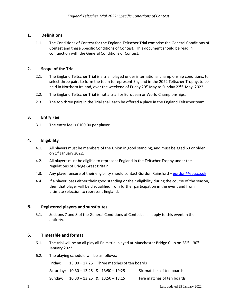# <span id="page-2-0"></span>**1. Definitions**

1.1. The Conditions of Contest for the England Teltscher Trial comprise the General Conditions of Contest and these Specific Conditions of Contest. This document should be read in conjunction with the General Conditions of Contest.

#### <span id="page-2-1"></span>**2. Scope of the Trial**

- 2.1. The England Teltscher Trial is a trial, played under international championship conditions, to select three pairs to form the team to represent England in the 2022 Teltscher Trophy, to be held in Northern Ireland, over the weekend of Friday 20<sup>th</sup> May to Sunday 22<sup>nd</sup> May, 2022.
- 2.2. The England Teltscher Trial is not a trial for European or World Championships.
- 2.3. The top three pairs in the Trial shall each be offered a place in the England Teltscher team.

# <span id="page-2-2"></span>**3. Entry Fee**

3.1. The entry fee is £100.00 per player.

# <span id="page-2-3"></span>**4. Eligibility**

- 4.1. All players must be members of the Union in good standing, and must be aged 63 or older on 1st January 2022.
- 4.2. All players must be eligible to represent England in the Teltscher Trophy under the regulations of Bridge Great Britain.
- 4.3. Any player unsure of their eligibility should contact Gordon Rainsford [gordon@ebu.co.uk](mailto:gordon@ebu.co.uk)
- 4.4. If a player loses either their good standing or their eligibility during the course of the season, then that player will be disqualified from further participation in the event and from ultimate selection to represent England.

#### <span id="page-2-4"></span>**5. Registered players and substitutes**

5.1. Sections 7 and 8 of the General Conditions of Contest shall apply to this event in their entirety.

#### <span id="page-2-5"></span>**6. Timetable and format**

- 6.1. The trial will be an all play all Pairs trial played at Manchester Bridge Club on  $28^{th} 30^{th}$ January 2022.
- 6.2. The playing schedule will be as follows:

| Friday: |                                         | $13:00 - 17:25$ Three matches of ten boards |  |                            |
|---------|-----------------------------------------|---------------------------------------------|--|----------------------------|
|         | Saturday: 10:30 – 13:25 & 13:50 – 19:25 |                                             |  | Six matches of ten boards  |
|         | Sunday: 10:30 - 13:25 & 13:50 - 18:15   |                                             |  | Five matches of ten boards |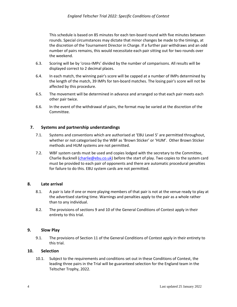This schedule is based on 85 minutes for each ten-board round with five minutes between rounds. Special circumstances may dictate that minor changes be made to the timings, at the discretion of the Tournament Director in Charge. If a further pair withdraws and an odd number of pairs remains, this would necessitate each pair sitting out for two rounds over the weekend.

- 6.3. Scoring will be by 'cross-IMPs' divided by the number of comparisons. All results will be displayed correct to 2 decimal places.
- 6.4. In each match, the winning pair's score will be capped at a number of IMPs determined by the length of the match, 39 IMPs for ten-board matches. The losing pair's score will not be affected by this procedure.
- 6.5. The movement will be determined in advance and arranged so that each pair meets each other pair twice.
- 6.6. In the event of the withdrawal of pairs, the format may be varied at the discretion of the Committee.

# <span id="page-3-0"></span>**7. Systems and partnership understandings**

- 7.1. Systems and conventions which are authorised at 'EBU Level 5' are permitted throughout, whether or not categorised by the WBF as 'Brown Sticker' or 'HUM'. Other Brown Sticker methods and HUM systems are not permitted.
- 7.2. WBF system cards must be used and copies lodged with the secretary to the Committee, Charlie Bucknell [\(charlie@ebu.co.uk\)](mailto:charlie@ebu.co.uk) before the start of play. Two copies to the system card must be provided to each pair of opponents and there are automatic procedural penalties for failure to do this. EBU system cards are not permitted.

#### <span id="page-3-1"></span>**8. Late arrival**

- 8.1. A pair is late if one or more playing members of that pair is not at the venue ready to play at the advertised starting time. Warnings and penalties apply to the pair as a whole rather than to any individual.
- 8.2. The provisions of sections 9 and 10 of the General Conditions of Contest apply in their entirety to this trial.

#### <span id="page-3-2"></span>**9. Slow Play**

9.1. The provisions of Section 11 of the General Conditions of Contest apply in their entirety to this trial.

#### <span id="page-3-3"></span>**10. Selection**

10.1. Subject to the requirements and conditions set out in these Conditions of Contest, the leading three pairs in the Trial will be guaranteed selection for the England team in the Teltscher Trophy, 2022.